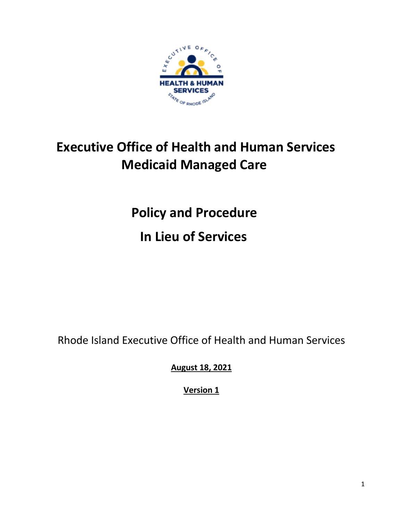

# **Executive Office of Health and Human Services Medicaid Managed Care**

**Policy and Procedure In Lieu of Services** 

Rhode Island Executive Office of Health and Human Services

**August 18, 2021**

**Version 1**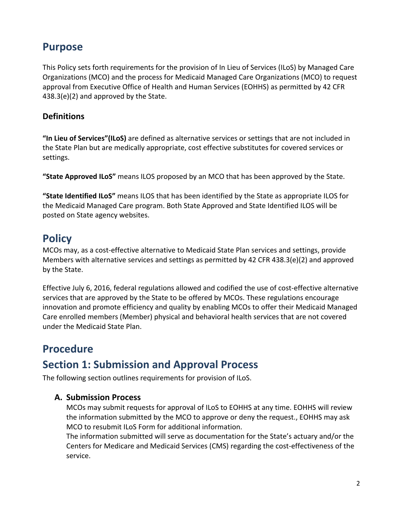### **Purpose**

This Policy sets forth requirements for the provision of In Lieu of Services (ILoS) by Managed Care Organizations (MCO) and the process for Medicaid Managed Care Organizations (MCO) to request approval from Executive Office of Health and Human Services (EOHHS) as permitted by 42 CFR 438.3(e)(2) and approved by the State.

### **Definitions**

**"In Lieu of Services"(ILoS)** are defined as alternative services or settings that are not included in the State Plan but are medically appropriate, cost effective substitutes for covered services or settings.

**"State Approved ILoS"** means ILOS proposed by an MCO that has been approved by the State.

**"State Identified ILoS"** means ILOS that has been identified by the State as appropriate ILOS for the Medicaid Managed Care program. Both State Approved and State Identified ILOS will be posted on State agency websites.

### **Policy**

MCOs may, as a cost-effective alternative to Medicaid State Plan services and settings, provide Members with alternative services and settings as permitted by 42 CFR 438.3(e)(2) and approved by the State.

Effective July 6, 2016, federal regulations allowed and codified the use of cost-effective alternative services that are approved by the State to be offered by MCOs. These regulations encourage innovation and promote efficiency and quality by enabling MCOs to offer their Medicaid Managed Care enrolled members (Member) physical and behavioral health services that are not covered under the Medicaid State Plan.

# **Procedure**

# **Section 1: Submission and Approval Process**

The following section outlines requirements for provision of ILoS.

### **A. Submission Process**

MCOs may submit requests for approval of ILoS to EOHHS at any time. EOHHS will review the information submitted by the MCO to approve or deny the request., EOHHS may ask MCO to resubmit ILoS Form for additional information.

The information submitted will serve as documentation for the State's actuary and/or the Centers for Medicare and Medicaid Services (CMS) regarding the cost-effectiveness of the service.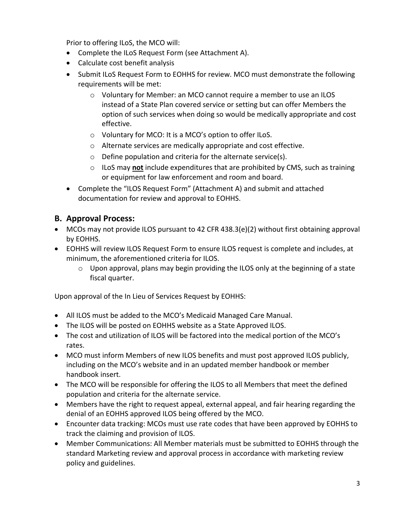Prior to offering ILoS, the MCO will:

- Complete the ILoS Request Form (see Attachment A).
- Calculate cost benefit analysis
- Submit ILoS Request Form to EOHHS for review. MCO must demonstrate the following requirements will be met:
	- o Voluntary for Member: an MCO cannot require a member to use an ILOS instead of a State Plan covered service or setting but can offer Members the option of such services when doing so would be medically appropriate and cost effective.
	- o Voluntary for MCO: It is a MCO's option to offer ILoS.
	- o Alternate services are medically appropriate and cost effective.
	- o Define population and criteria for the alternate service(s).
	- o ILoS may **not** include expenditures that are prohibited by CMS, such as training or equipment for law enforcement and room and board.
- Complete the "ILOS Request Form" (Attachment A) and submit and attached documentation for review and approval to EOHHS.

#### **B. Approval Process:**

- MCOs may not provide ILOS pursuant to 42 CFR 438.3(e)(2) without first obtaining approval by EOHHS.
- EOHHS will review ILOS Request Form to ensure ILOS request is complete and includes, at minimum, the aforementioned criteria for ILOS.
	- $\circ$  Upon approval, plans may begin providing the ILOS only at the beginning of a state fiscal quarter.

Upon approval of the In Lieu of Services Request by EOHHS:

- All ILOS must be added to the MCO's Medicaid Managed Care Manual.
- The ILOS will be posted on EOHHS website as a State Approved ILOS.
- The cost and utilization of ILOS will be factored into the medical portion of the MCO's rates.
- MCO must inform Members of new ILOS benefits and must post approved ILOS publicly, including on the MCO's website and in an updated member handbook or member handbook insert.
- The MCO will be responsible for offering the ILOS to all Members that meet the defined population and criteria for the alternate service.
- Members have the right to request appeal, external appeal, and fair hearing regarding the denial of an EOHHS approved ILOS being offered by the MCO.
- Encounter data tracking: MCOs must use rate codes that have been approved by EOHHS to track the claiming and provision of ILOS.
- Member Communications: All Member materials must be submitted to EOHHS through the standard Marketing review and approval process in accordance with marketing review policy and guidelines.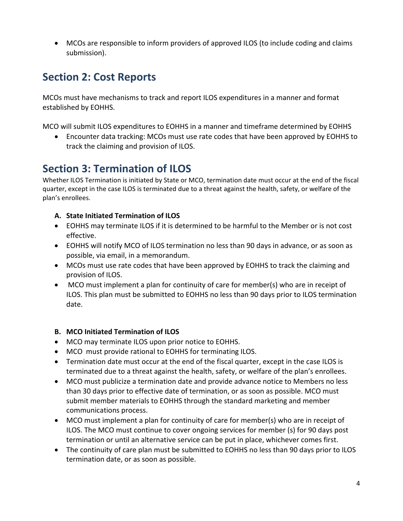• MCOs are responsible to inform providers of approved ILOS (to include coding and claims submission).

# **Section 2: Cost Reports**

MCOs must have mechanisms to track and report ILOS expenditures in a manner and format established by EOHHS.

MCO will submit ILOS expenditures to EOHHS in a manner and timeframe determined by EOHHS

• Encounter data tracking: MCOs must use rate codes that have been approved by EOHHS to track the claiming and provision of ILOS.

### **Section 3: Termination of ILOS**

Whether ILOS Termination is initiated by State or MCO, termination date must occur at the end of the fiscal quarter, except in the case ILOS is terminated due to a threat against the health, safety, or welfare of the plan's enrollees.

#### **A. State Initiated Termination of ILOS**

- EOHHS may terminate ILOS if it is determined to be harmful to the Member or is not cost effective.
- EOHHS will notify MCO of ILOS termination no less than 90 days in advance, or as soon as possible, via email, in a memorandum.
- MCOs must use rate codes that have been approved by EOHHS to track the claiming and provision of ILOS.
- MCO must implement a plan for continuity of care for member(s) who are in receipt of ILOS. This plan must be submitted to EOHHS no less than 90 days prior to ILOS termination date.

#### **B. MCO Initiated Termination of ILOS**

- MCO may terminate ILOS upon prior notice to EOHHS.
- MCO must provide rational to EOHHS for terminating ILOS.
- Termination date must occur at the end of the fiscal quarter, except in the case ILOS is terminated due to a threat against the health, safety, or welfare of the plan's enrollees.
- MCO must publicize a termination date and provide advance notice to Members no less than 30 days prior to effective date of termination, or as soon as possible. MCO must submit member materials to EOHHS through the standard marketing and member communications process.
- MCO must implement a plan for continuity of care for member(s) who are in receipt of ILOS. The MCO must continue to cover ongoing services for member (s) for 90 days post termination or until an alternative service can be put in place, whichever comes first.
- The continuity of care plan must be submitted to EOHHS no less than 90 days prior to ILOS termination date, or as soon as possible.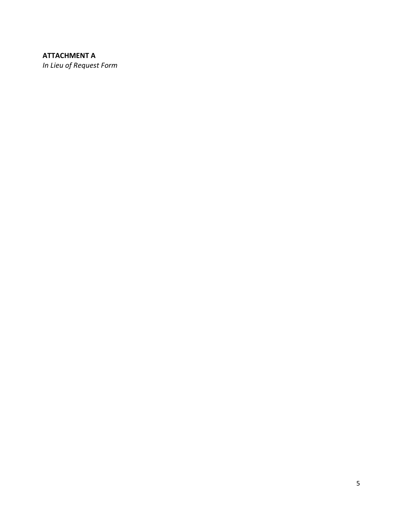### **ATTACHMENT A**

In Lieu of Request Form